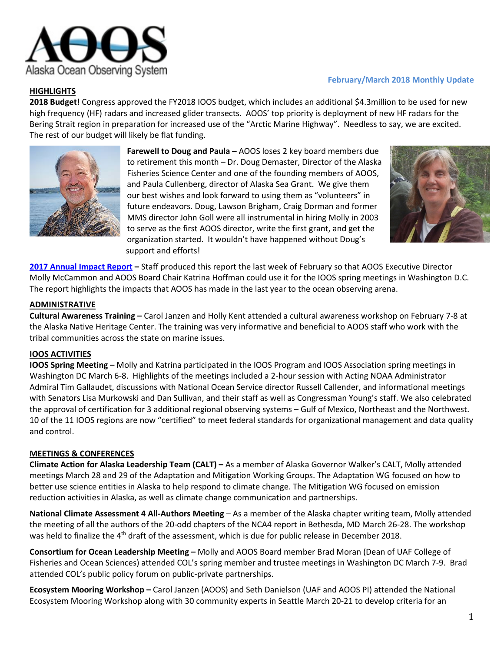

# **HIGHLIGHTS**

# **February/March 2018 Monthly Update**

**2018 Budget!** Congress approved the FY2018 IOOS budget, which includes an additional \$4.3million to be used for new high frequency (HF) radars and increased glider transects. AOOS' top priority is deployment of new HF radars for the Bering Strait region in preparation for increased use of the "Arctic Marine Highway". Needless to say, we are excited. The rest of our budget will likely be flat funding.



**Farewell to Doug and Paula –** AOOS loses 2 key board members due to retirement this month – Dr. Doug Demaster, Director of the Alaska Fisheries Science Center and one of the founding members of AOOS, and Paula Cullenberg, director of Alaska Sea Grant. We give them our best wishes and look forward to using them as "volunteers" in future endeavors. Doug, Lawson Brigham, Craig Dorman and former MMS director John Goll were all instrumental in hiring Molly in 2003 to serve as the first AOOS director, write the first grant, and get the organization started. It wouldn't have happened without Doug's support and efforts!



**[2017 Annual Impact Report](http://www.aoos.org/wp-content/uploads/2018/04/2017_AOOS_Impact_report_medres.pdf) –** Staff produced this report the last week of February so that AOOS Executive Director Molly McCammon and AOOS Board Chair Katrina Hoffman could use it for the IOOS spring meetings in Washington D.C. The report highlights the impacts that AOOS has made in the last year to the ocean observing arena.

### **ADMINISTRATIVE**

**Cultural Awareness Training –** Carol Janzen and Holly Kent attended a cultural awareness workshop on February 7-8 at the Alaska Native Heritage Center. The training was very informative and beneficial to AOOS staff who work with the tribal communities across the state on marine issues.

## **IOOS ACTIVITIES**

**IOOS Spring Meeting –** Molly and Katrina participated in the IOOS Program and IOOS Association spring meetings in Washington DC March 6-8. Highlights of the meetings included a 2-hour session with Acting NOAA Administrator Admiral Tim Gallaudet, discussions with National Ocean Service director Russell Callender, and informational meetings with Senators Lisa Murkowski and Dan Sullivan, and their staff as well as Congressman Young's staff. We also celebrated the approval of certification for 3 additional regional observing systems – Gulf of Mexico, Northeast and the Northwest. 10 of the 11 IOOS regions are now "certified" to meet federal standards for organizational management and data quality and control.

#### **MEETINGS & CONFERENCES**

**Climate Action for Alaska Leadership Team (CALT) –** As a member of Alaska Governor Walker's CALT, Molly attended meetings March 28 and 29 of the Adaptation and Mitigation Working Groups. The Adaptation WG focused on how to better use science entities in Alaska to help respond to climate change. The Mitigation WG focused on emission reduction activities in Alaska, as well as climate change communication and partnerships.

**National Climate Assessment 4 All-Authors Meeting** – As a member of the Alaska chapter writing team, Molly attended the meeting of all the authors of the 20-odd chapters of the NCA4 report in Bethesda, MD March 26-28. The workshop was held to finalize the 4<sup>th</sup> draft of the assessment, which is due for public release in December 2018.

**Consortium for Ocean Leadership Meeting –** Molly and AOOS Board member Brad Moran (Dean of UAF College of Fisheries and Ocean Sciences) attended COL's spring member and trustee meetings in Washington DC March 7-9. Brad attended COL's public policy forum on public-private partnerships.

**Ecosystem Mooring Workshop –** Carol Janzen (AOOS) and Seth Danielson (UAF and AOOS PI) attended the National Ecosystem Mooring Workshop along with 30 community experts in Seattle March 20-21 to develop criteria for an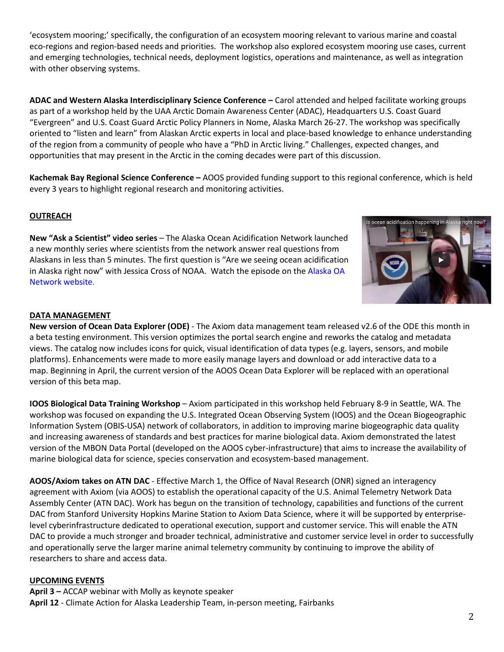'ecosystem mooring;' specifically, the configuration of an ecosystem mooring relevant to various marine and coastal eco-regions and region-based needs and priorities. The workshop also explored ecosystem mooring use cases, current and emerging technologies, technical needs, deployment logistics, operations and maintenance, as well as integration with other observing systems.

**ADAC and Western Alaska Interdisciplinary Science Conference –** Carol attended and helped facilitate working groups as part of a workshop held by the UAA Arctic Domain Awareness Center (ADAC), Headquarters U.S. Coast Guard "Evergreen" and U.S. Coast Guard Arctic Policy Planners in Nome, Alaska March 26-27. The workshop was specifically oriented to "listen and learn" from Alaskan Arctic experts in local and place-based knowledge to enhance understanding of the region from a community of people who have a "PhD in Arctic living." Challenges, expected changes, and opportunities that may present in the Arctic in the coming decades were part of this discussion.

**Kachemak Bay Regional Science Conference –** AOOS provided funding support to this regional conference, which is held every 3 years to highlight regional research and monitoring activities.

## **OUTREACH**

**New "Ask a Scientist" video series** – The Alaska Ocean Acidification Network launched a new monthly series where scientists from the network answer real questions from Alaskans in less than 5 minutes. The first question is "Are we seeing ocean acidification in Alaska right now" with Jessica Cross of NOAA. Watch the episode on the [Alaska OA](http://www.aoos.org/alaska-ocean-acidification-network/)  [Network website.](http://www.aoos.org/alaska-ocean-acidification-network/)



#### **DATA MANAGEMENT**

**New version of Ocean Data Explorer (ODE)** - The Axiom data management team released v2.6 of the ODE this month in a beta testing environment. This version optimizes the portal search engine and reworks the catalog and metadata views. The catalog now includes icons for quick, visual identification of data types (e.g. layers, sensors, and mobile platforms). Enhancements were made to more easily manage layers and download or add interactive data to a map. Beginning in April, the current version of the AOOS Ocean Data Explorer will be replaced with an operational version of this beta map.

**IOOS Biological Data Training Workshop** – Axiom participated in this workshop held February 8-9 in Seattle, WA. The workshop was focused on expanding the U.S. Integrated Ocean Observing System (IOOS) and the Ocean Biogeographic Information System (OBIS-USA) network of collaborators, in addition to improving marine biogeographic data quality and increasing awareness of standards and best practices for marine biological data. Axiom demonstrated the latest version of the MBON Data Portal (developed on the AOOS cyber-infrastructure) that aims to increase the availability of marine biological data for science, species conservation and ecosystem-based management.

**AOOS/Axiom takes on ATN DAC** - Effective March 1, the Office of Naval Research (ONR) signed an interagency agreement with Axiom (via AOOS) to establish the operational capacity of the U.S. Animal Telemetry Network Data Assembly Center (ATN DAC). Work has begun on the transition of technology, capabilities and functions of the current DAC from Stanford University Hopkins Marine Station to Axiom Data Science, where it will be supported by enterpriselevel cyberinfrastructure dedicated to operational execution, support and customer service. This will enable the ATN DAC to provide a much stronger and broader technical, administrative and customer service level in order to successfully and operationally serve the larger marine animal telemetry community by continuing to improve the ability of researchers to share and access data.

#### **UPCOMING EVENTS**

**April 3 –** ACCAP webinar with Molly as keynote speaker **April 12** - Climate Action for Alaska Leadership Team, in-person meeting, Fairbanks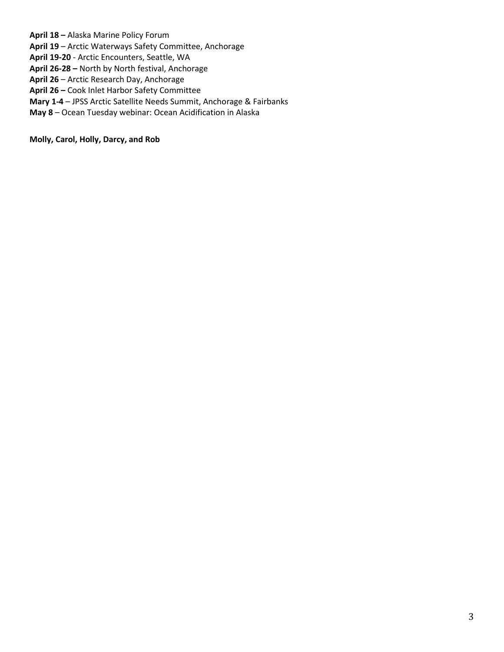**April 18 –** Alaska Marine Policy Forum **April 19** – Arctic Waterways Safety Committee, Anchorage **April 19-20** - Arctic Encounters, Seattle, WA **April 26-28 –** North by North festival, Anchorage **April 26** – Arctic Research Day, Anchorage **April 26 –** Cook Inlet Harbor Safety Committee **Mary 1-4** – JPSS Arctic Satellite Needs Summit, Anchorage & Fairbanks **May 8** – Ocean Tuesday webinar: Ocean Acidification in Alaska

**Molly, Carol, Holly, Darcy, and Rob**